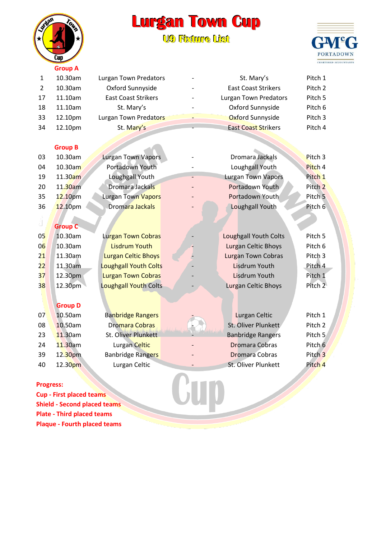## **Lurgan Town Cup U9 Fiixture Liist**



| - | . .<br>٠ |  |
|---|----------|--|
|   |          |  |

| $\mathbf{1}$     | 10.30am                             | <b>Lurgan Town Predators</b> | St. Mary's                   | Pitch 1            |
|------------------|-------------------------------------|------------------------------|------------------------------|--------------------|
| $\overline{2}$   | 10.30am                             | Oxford Sunnyside             | <b>East Coast Strikers</b>   | Pitch <sub>2</sub> |
| 17               | 11.10am                             | <b>East Coast Strikers</b>   | <b>Lurgan Town Predators</b> | Pitch 5            |
| 18               | 11.10am                             | St. Mary's                   | Oxford Sunnyside             | Pitch 6            |
| 33               | 12.10pm                             | Lurgan Town Predators        | Oxford Sunnyside             | Pitch 3            |
| 34               | 12.10pm                             | St. Mary's                   | <b>East Coast Strikers</b>   | Pitch 4            |
|                  |                                     |                              |                              |                    |
|                  | <b>Group B</b>                      |                              |                              |                    |
| 03               | 10.30am                             | <b>Lurgan Town Vapors</b>    | Dromara Jackals              | Pitch <sub>3</sub> |
| 04               | 10.30am                             | Portadown Youth              | Loughgall Youth              | Pitch 4            |
| 19               | 11.30am                             | Loughgall Youth              | <b>Lurgan Town Vapors</b>    | Pitch <sub>1</sub> |
| 20               | 11.30am                             | Dromara Jackals              | Portadown Youth              | Pitch <sub>2</sub> |
| 35               | 12.10pm                             | Lurgan Town Vapors           | Portadown Youth              | Pitch <sub>5</sub> |
| 36               | 12.10pm                             | Dromara Jackals              | Loughgall Youth              | Pitch 6            |
|                  |                                     |                              |                              |                    |
|                  | <b>Group C</b>                      |                              |                              |                    |
| 0 <sub>5</sub>   | 10.30am                             | <b>Lurgan Town Cobras</b>    | <b>Loughgall Youth Colts</b> | Pitch 5            |
| 06               | 10.30am                             | <b>Lisdrum Youth</b>         | <b>Lurgan Celtic Bhoys</b>   | Pitch 6            |
| 21               | 11.30am                             | Lurgan Celtic Bhoys          | <b>Lurgan Town Cobras</b>    | Pitch <sub>3</sub> |
| 22               | 11.30am                             | <b>Loughgall Youth Colts</b> | <b>Lisdrum Youth</b>         | Pitch 4            |
| 37               | 12.30pm                             | <b>Lurgan Town Cobras</b>    | <b>Lisdrum Youth</b>         | Pitch 1            |
| 38               | 12.30pm                             | <b>Loughgall Youth Colts</b> | <b>Lurgan Celtic Bhoys</b>   | Pitch <sub>2</sub> |
|                  |                                     |                              |                              |                    |
|                  | <b>Group D</b>                      |                              |                              |                    |
| 07               | 10.50am                             | <b>Banbridge Rangers</b>     | Lurgan Celtic                | Pitch 1            |
| 08               | 10.50am                             | Dromara Cobras               | St. Oliver Plunkett          | Pitch 2            |
| 23               | 11.30am                             | St. Oliver Plunkett          | <b>Banbridge Rangers</b>     | Pitch 5            |
| 24               | 11.30am                             | Lurgan Celtic                | <b>Dromara Cobras</b>        | Pitch 6            |
| 39               | 12.30pm                             | <b>Banbridge Rangers</b>     | <b>Dromara Cobras</b>        | Pitch <sub>3</sub> |
| 40               | 12.30pm                             | Lurgan Celtic                | St. Oliver Plunkett          | Pitch 4            |
|                  |                                     |                              |                              |                    |
| <b>Progress:</b> |                                     |                              |                              |                    |
|                  | <b>Cup - First placed teams</b>     |                              |                              |                    |
|                  | <b>Shield - Second placed teams</b> |                              |                              |                    |

## **Progress:**

**Cup - First placed teams Shield - Second placed teams Plate - Third placed teams Plaque - Fourth placed teams**